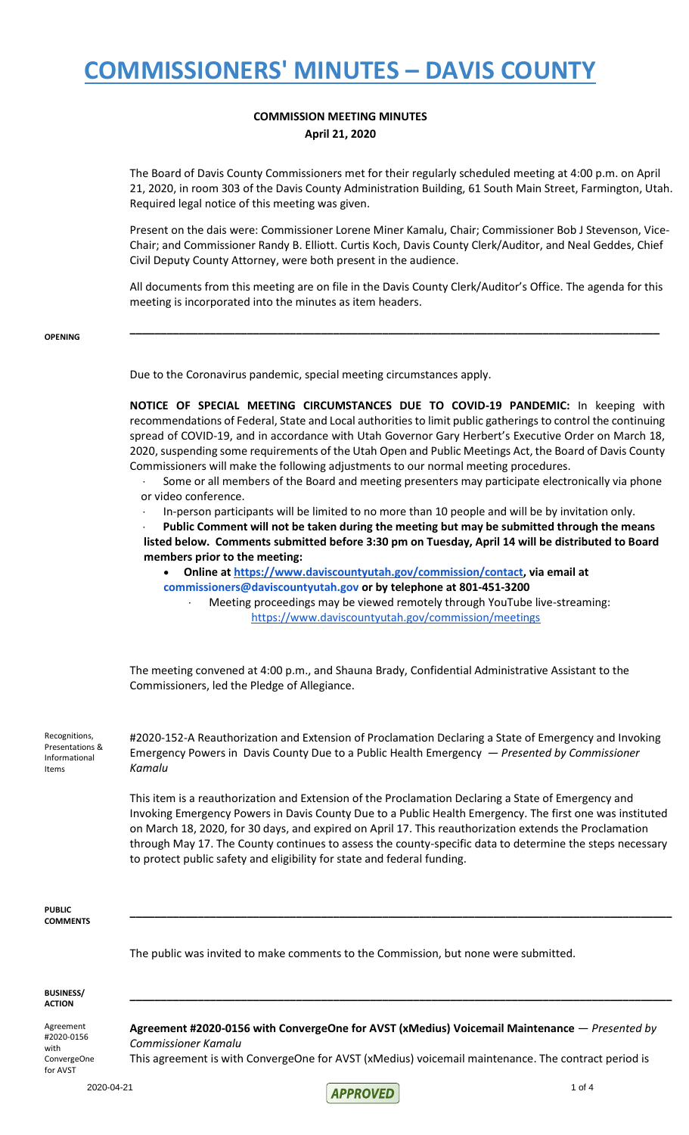#### **COMMISSION MEETING MINUTES April 21, 2020**

The Board of Davis County Commissioners met for their regularly scheduled meeting at 4:00 p.m. on April 21, 2020, in room 303 of the Davis County Administration Building, 61 South Main Street, Farmington, Utah. Required legal notice of this meeting was given.

Present on the dais were: Commissioner Lorene Miner Kamalu, Chair; Commissioner Bob J Stevenson, Vice-Chair; and Commissioner Randy B. Elliott. Curtis Koch, Davis County Clerk/Auditor, and Neal Geddes, Chief Civil Deputy County Attorney, were both present in the audience.

All documents from this meeting are on file in the Davis County Clerk/Auditor's Office. The agenda for this meeting is incorporated into the minutes as item headers.

**\_\_\_\_\_\_\_\_\_\_\_\_\_\_\_\_\_\_\_\_\_\_\_\_\_\_\_\_\_\_\_\_\_\_\_\_\_\_\_\_\_\_\_\_\_\_\_\_\_\_\_\_\_\_\_\_\_\_\_\_\_\_\_\_\_\_\_\_\_\_\_\_\_\_\_\_\_\_\_\_\_\_\_\_\_\_**

**OPENING**

Due to the Coronavirus pandemic, special meeting circumstances apply.

**NOTICE OF SPECIAL MEETING CIRCUMSTANCES DUE TO COVID-19 PANDEMIC:** In keeping with recommendations of Federal, State and Local authorities to limit public gatherings to control the continuing spread of COVID-19, and in accordance with Utah Governor Gary Herbert's Executive Order on March 18, 2020, suspending some requirements of the Utah Open and Public Meetings Act, the Board of Davis County Commissioners will make the following adjustments to our normal meeting procedures.

- Some or all members of the Board and meeting presenters may participate electronically via phone or video conference.
- · In-person participants will be limited to no more than 10 people and will be by invitation only.

 · **Public Comment will not be taken during the meeting but may be submitted through the means listed below. Comments submitted before 3:30 pm on Tuesday, April 14 will be distributed to Board members prior to the meeting:**

- **Online a[t](https://www.daviscountyutah.gov/commission/contact) [https://www.daviscountyutah.gov/commission/contact,](https://www.daviscountyutah.gov/commission/contact) via email at commissioners@daviscountyutah.gov or by telephone at 801-451-3200**
	-

 · Meeting proceedings may be viewed remotely through YouTube live-streaming: <https://www.daviscountyutah.gov/commission/meetings>

The meeting convened at 4:00 p.m., and Shauna Brady, Confidential Administrative Assistant to the Commissioners, led the Pledge of Allegiance.

Recognitions, Presentations & Informational Items

#2020-152-A Reauthorization and Extension of Proclamation Declaring a State of Emergency and Invoking Emergency Powers in Davis County Due to a Public Health Emergency — *Presented by Commissioner Kamalu*

This item is a reauthorization and Extension of the Proclamation Declaring a State of Emergency and Invoking Emergency Powers in Davis County Due to a Public Health Emergency. The first one was instituted on March 18, 2020, for 30 days, and expired on April 17. This reauthorization extends the Proclamation through May 17. The County continues to assess the county-specific data to determine the steps necessary to protect public safety and eligibility for state and federal funding.

**\_\_\_\_\_\_\_\_\_\_\_\_\_\_\_\_\_\_\_\_\_\_\_\_\_\_\_\_\_\_\_\_\_\_\_\_\_\_\_\_\_\_\_\_\_\_\_\_\_\_\_\_\_\_\_\_\_\_\_\_\_\_\_\_\_\_\_\_\_\_\_\_\_\_\_\_\_\_\_\_\_\_\_\_\_\_\_\_**

**PUBLIC COMMENTS**

The public was invited to make comments to the Commission, but none were submitted.

**BUSINESS/ ACTION**

Agreement #2020-0156 with ConvergeOne for AVST

**Agreement #2020-0156 with ConvergeOne for AVST (xMedius) Voicemail Maintenance** — *Presented by Commissioner Kamalu*

**\_\_\_\_\_\_\_\_\_\_\_\_\_\_\_\_\_\_\_\_\_\_\_\_\_\_\_\_\_\_\_\_\_\_\_\_\_\_\_\_\_\_\_\_\_\_\_\_\_\_\_\_\_\_\_\_\_\_\_\_\_\_\_\_\_\_\_\_\_\_\_\_\_\_\_\_\_\_\_\_\_\_\_\_\_\_\_\_**

This agreement is with ConvergeOne for AVST (xMedius) voicemail maintenance. The contract period is

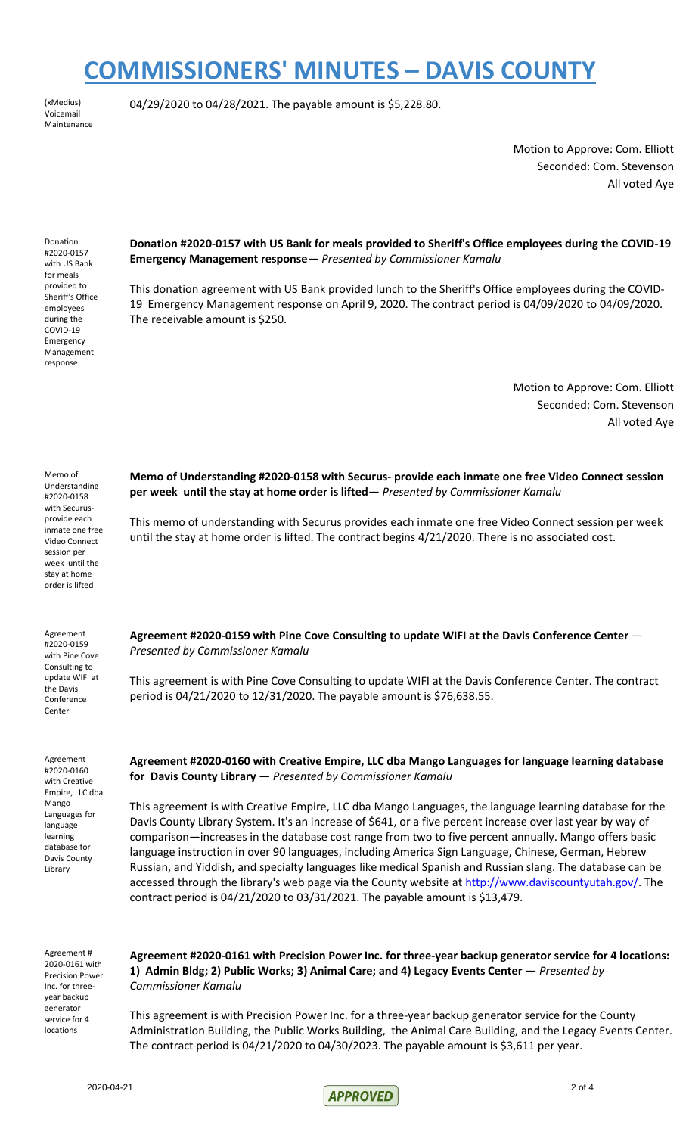(xMedius) .<br>Voicemail Maintenance 04/29/2020 to 04/28/2021. The payable amount is \$5,228.80.

Motion to Approve: Com. Elliott Seconded: Com. Stevenson All voted Aye

Donation #2020-0157 with US Bank for meals provided to Sheriff's Office employees during the COVID-19 Emergency Management response

**Donation #2020-0157 with US Bank for meals provided to Sheriff's Office employees during the COVID-19 Emergency Management response**— *Presented by Commissioner Kamalu*

This donation agreement with US Bank provided lunch to the Sheriff's Office employees during the COVID-19 Emergency Management response on April 9, 2020. The contract period is 04/09/2020 to 04/09/2020. The receivable amount is \$250.

> Motion to Approve: Com. Elliott Seconded: Com. Stevenson All voted Aye

Memo of Understanding #2020-0158 with Securusprovide each inmate one free Video Connect session per week until the stay at home order is lifted **Memo of Understanding #2020-0158 with Securus- provide each inmate one free Video Connect session per week until the stay at home order is lifted**— *Presented by Commissioner Kamalu* This memo of understanding with Securus provides each inmate one free Video Connect session per week until the stay at home order is lifted. The contract begins 4/21/2020. There is no associated cost. Agreement #2020-0159 with Pine Cove Consulting to update WIFI at the Davis Conference Center **Agreement #2020-0159 with Pine Cove Consulting to update WIFI at the Davis Conference Center** — *Presented by Commissioner Kamalu* This agreement is with Pine Cove Consulting to update WIFI at the Davis Conference Center. The contract period is 04/21/2020 to 12/31/2020. The payable amount is \$76,638.55. Agreement #2020-0160 with Creative Empire, LLC dba Mango Languages for language learning database for Davis County Library **Agreement #2020-0160 with Creative Empire, LLC dba Mango Languages for language learning database for Davis County Library** — *Presented by Commissioner Kamalu* This agreement is with Creative Empire, LLC dba Mango Languages, the language learning database for the Davis County Library System. It's an increase of \$641, or a five percent increase over last year by way of comparison—increases in the database cost range from two to five percent annually. Mango offers basic language instruction in over 90 languages, including America Sign Language, Chinese, German, Hebrew Russian, and Yiddish, and specialty languages like medical Spanish and Russian slang. The database can be accessed through the library's web page via the County website at [http://www.daviscountyutah.gov/.](http://www.daviscountyutah.gov/) The contract period is 04/21/2020 to 03/31/2021. The payable amount is \$13,479.

Agreement # 2020-0161 with Precision Power Inc. for threeyear backup generator service for 4 locations

**Agreement #2020-0161 with Precision Power Inc. for three-year backup generator service for 4 locations: 1) Admin Bldg; 2) Public Works; 3) Animal Care; and 4) Legacy Events Center** — *Presented by Commissioner Kamalu*

This agreement is with Precision Power Inc. for a three-year backup generator service for the County Administration Building, the Public Works Building, the Animal Care Building, and the Legacy Events Center. The contract period is  $04/21/2020$  to  $04/30/2023$ . The payable amount is \$3,611 per year.

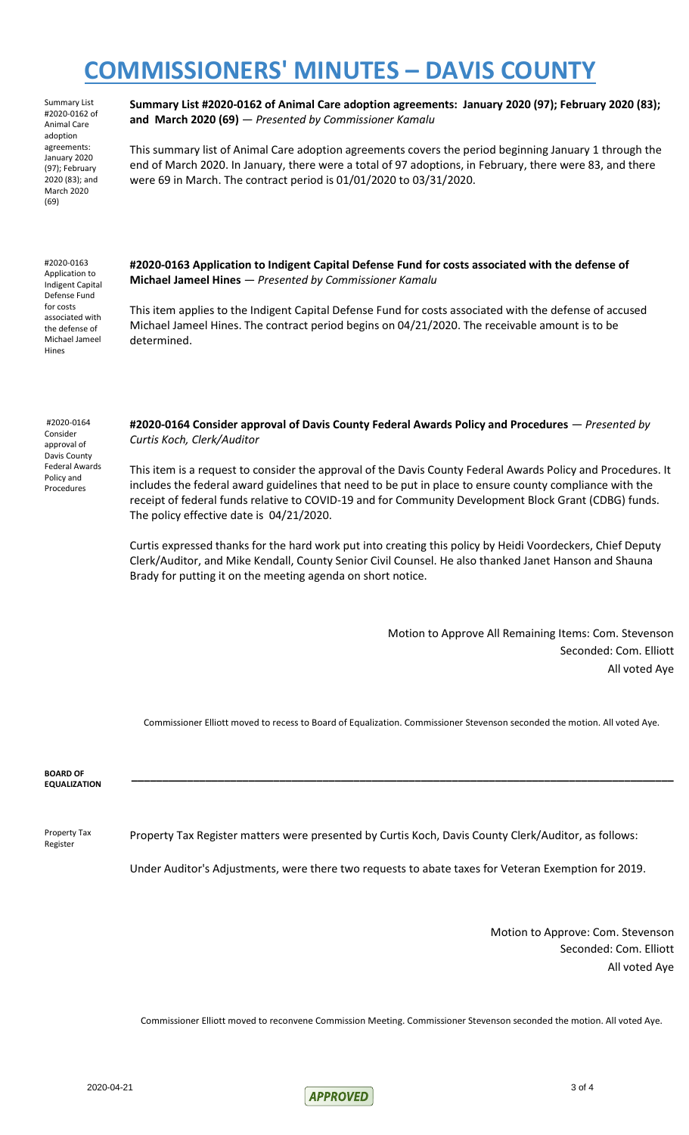Summary List #2020-0162 of Animal Care adoption agreements: January 2020 (97); February 2020 (83); and March 2020 (69)

**Summary List #2020-0162 of Animal Care adoption agreements: January 2020 (97); February 2020 (83); and March 2020 (69)** — *Presented by Commissioner Kamalu*

This summary list of Animal Care adoption agreements covers the period beginning January 1 through the end of March 2020. In January, there were a total of 97 adoptions, in February, there were 83, and there were 69 in March. The contract period is 01/01/2020 to 03/31/2020.

#2020-0163 Application to Indigent Capital Defense Fund for costs associated with the defense of Michael Jameel Hines

**#2020-0163 Application to Indigent Capital Defense Fund for costs associated with the defense of Michael Jameel Hines** — *Presented by Commissioner Kamalu*

This item applies to the Indigent Capital Defense Fund for costs associated with the defense of accused Michael Jameel Hines. The contract period begins on 04/21/2020. The receivable amount is to be determined.

#2020-0164 Consider approval of Davis County Federal Awards Policy and Procedures

**#2020-0164 Consider approval of Davis County Federal Awards Policy and Procedures** — *Presented by Curtis Koch, Clerk/Auditor*

This item is a request to consider the approval of the Davis County Federal Awards Policy and Procedures. It includes the federal award guidelines that need to be put in place to ensure county compliance with the receipt of federal funds relative to COVID-19 and for Community Development Block Grant (CDBG) funds. The policy effective date is 04/21/2020.

Curtis expressed thanks for the hard work put into creating this policy by Heidi Voordeckers, Chief Deputy Clerk/Auditor, and Mike Kendall, County Senior Civil Counsel. He also thanked Janet Hanson and Shauna Brady for putting it on the meeting agenda on short notice.

> Motion to Approve All Remaining Items: Com. Stevenson Seconded: Com. Elliott All voted Aye

Commissioner Elliott moved to recess to Board of Equalization. Commissioner Stevenson seconded the motion. All voted Aye.

**\_\_\_\_\_\_\_\_\_\_\_\_\_\_\_\_\_\_\_\_\_\_\_\_\_\_\_\_\_\_\_\_\_\_\_\_\_\_\_\_\_\_\_\_\_\_\_\_\_\_\_\_\_\_\_\_\_\_\_\_\_\_\_\_\_\_\_\_\_\_\_\_\_\_\_\_\_\_\_\_\_\_\_\_\_\_\_\_**

**BOARD OF EQUALIZATION**

Property Tax Register Property Tax Register matters were presented by Curtis Koch, Davis County Clerk/Auditor, as follows:

Under Auditor's Adjustments, were there two requests to abate taxes for Veteran Exemption for 2019.

Motion to Approve: Com. Stevenson Seconded: Com. Elliott All voted Aye

Commissioner Elliott moved to reconvene Commission Meeting. Commissioner Stevenson seconded the motion. All voted Aye.

 $2020-04-21$  3 of 4